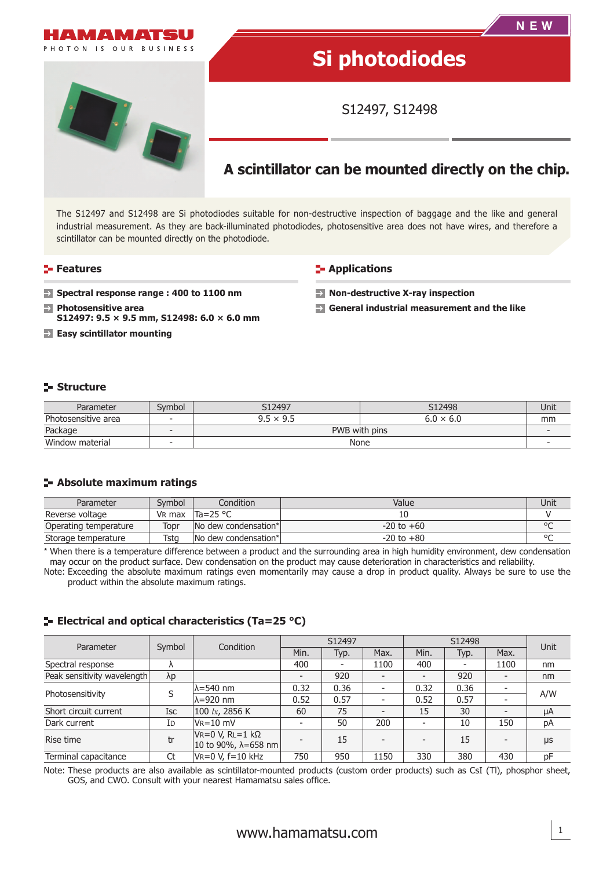

The S12497 and S12498 are Si photodiodes suitable for non-destructive inspection of baggage and the like and general industrial measurement. As they are back-illuminated photodiodes, photosensitive area does not have wires, and therefore a scintillator can be mounted directly on the photodiode.

#### **Features**

- **E-** Applications
- **Spectral response range : 400 to 1100 nm**
- **EX** Photosensitive area **S12497: 9.5 × 9.5 mm, S12498: 6.0 × 6.0 mm**
- **Easy scintillator mounting**
- **Non-destructive X-ray inspection**
- **General industrial measurement and the like**

# **Structure**

| Parameter           | Svmbol                   | S12497           | S12498           | Unit |
|---------------------|--------------------------|------------------|------------------|------|
| Photosensitive area | $\overline{\phantom{0}}$ | $9.5 \times 9.5$ | $6.0 \times 6.0$ | mm   |
| Package             |                          | PWB with pins    |                  |      |
| Window material     |                          | None             |                  |      |

## **Absolute maximum ratings**

| Parameter             | Svmbol | Condition                        | Value          | Unit    |
|-----------------------|--------|----------------------------------|----------------|---------|
| Reverse voltage       |        | VR max $\text{Ta=25} \text{ °C}$ |                |         |
| Operating temperature | Topr   | INo dew condensation*I           | $-20$ to $+60$ | $\circ$ |
| Storage temperature   | Tstg   | No dew condensation*             | $-20$ to $+80$ | $\circ$ |

\* When there is a temperature difference between a product and the surrounding area in high humidity environment, dew condensation may occur on the product surface. Dew condensation on the product may cause deterioration in characteristics and reliability.

Note: Exceeding the absolute maximum ratings even momentarily may cause a drop in product quality. Always be sure to use the product within the absolute maximum ratings.

# **E** Electrical and optical characteristics (Ta=25 °C)

| Parameter                   | Symbol     | Condition                                                         | S12497 |                          | S12498                   |      |      | Unit |     |
|-----------------------------|------------|-------------------------------------------------------------------|--------|--------------------------|--------------------------|------|------|------|-----|
|                             |            |                                                                   | Min.   | Typ.                     | Max.                     | Min. | Typ. | Max. |     |
| Spectral response           |            |                                                                   | 400    | $\overline{\phantom{a}}$ | 1100                     | 400  |      | 1100 | nm  |
| Peak sensitivity wavelength | λp         |                                                                   |        | 920                      | $\overline{\phantom{0}}$ |      | 920  |      | nm  |
| Photosensitivity            |            | lλ=540 nm                                                         | 0.32   | 0.36                     | ٠                        | 0.32 | 0.36 |      | A/W |
|                             |            | $\lambda = 920$ nm                                                | 0.52   | 0.57                     | ٠                        | 0.52 | 0.57 |      |     |
| Short circuit current       | <b>Isc</b> | 100 $lx$ , 2856 K                                                 | 60     | 75                       | $\overline{\phantom{0}}$ | 15   | 30   |      | μA  |
| Dark current                | Id         | $V_R = 10$ mV                                                     |        | 50                       | 200                      |      | 10   | 150  | pA  |
| Rise time                   | tr         | $V = 0 V, R = 1 k\Omega$<br>$ 10 \text{ to } 90\%$ , λ=658 nm $ $ |        | 15                       | $\overline{\phantom{0}}$ |      | 15   |      | μs  |
| Terminal capacitance        | Ct         | $V = 0 V, f = 10 kHz$                                             | 750    | 950                      | 1150                     | 330  | 380  | 430  | pF  |

Note: These products are also available as scintillator-mounted products (custom order products) such as CsI (Tl), phosphor sheet, GOS, and CWO. Consult with your nearest Hamamatsu sales office.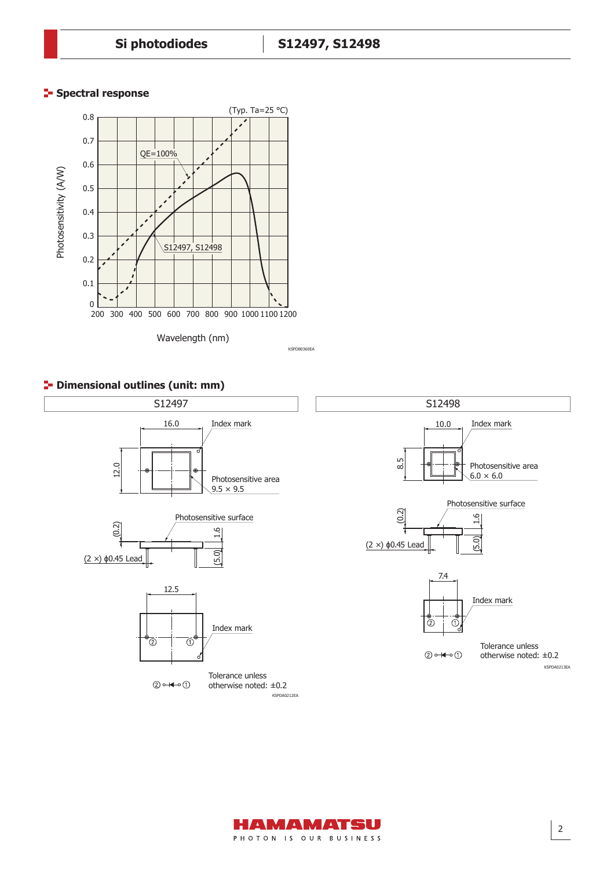# **Spectral response**



# **P** Dimensional outlines (unit: mm)





2